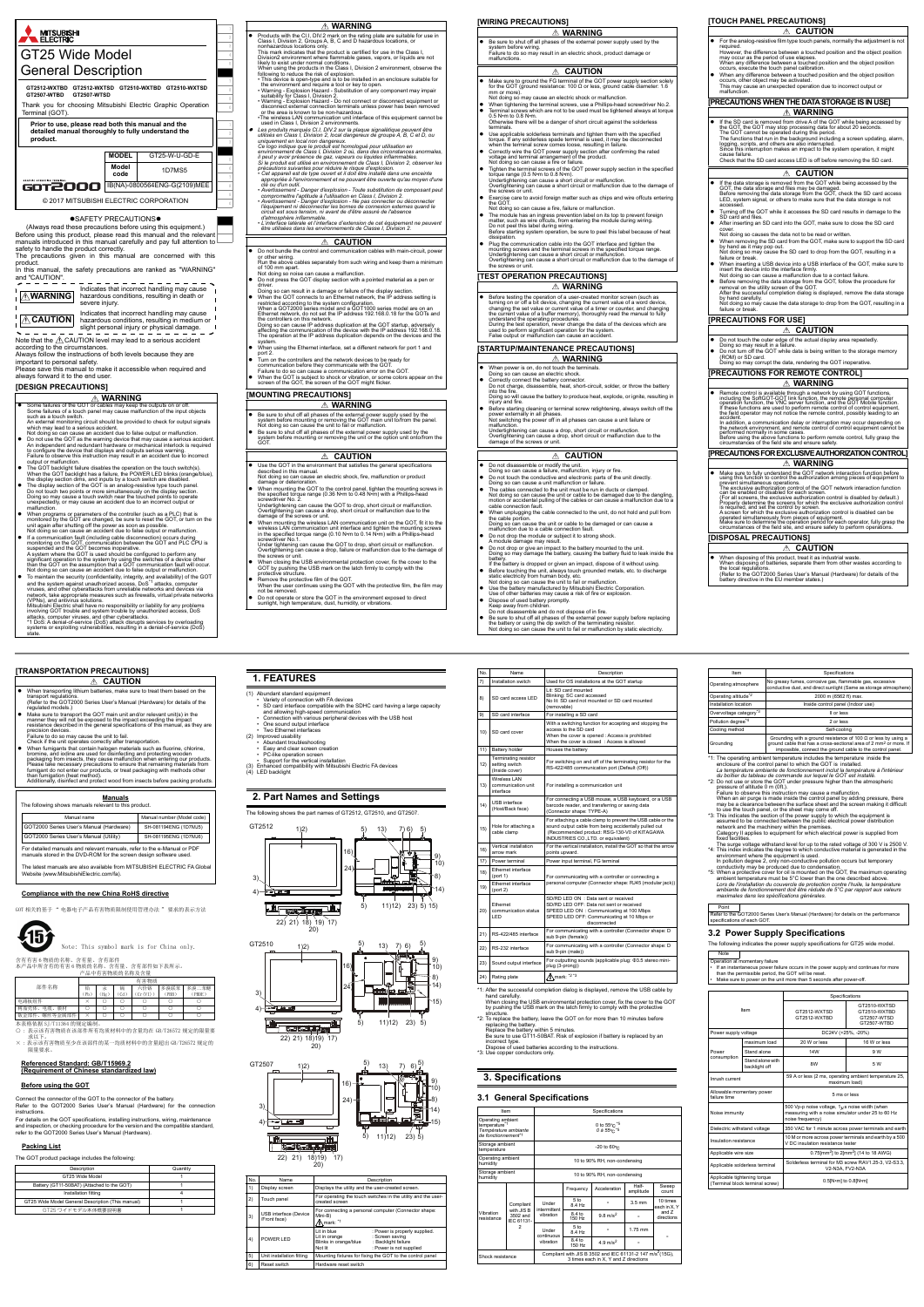2

5

8

1

.

7

0



- $\bullet$  Do not use the GOT as the warning device that may cause a serious accident.<br>An independent and redundant hardware or mechanical interlock is required<br>to configure the device that displays and outputs serious warning.
- The GOT backlight failure disables the operation on the touch switch(s). When the GOT backlight has a failure, the POWER LED blinks (orange/blue), the display section dimas, and inputs by a touch switch are disabled. <br>
- 
- 
- When programs or parameters of the controller (such as a PLC) that is<br>monitored by the GOT are changed, be sure to reset the GOT, or turn on the<br>unit again after shutting off the power as soon as possible.<br>Not doing so c
- 
- (VPNs), and antivirus solutions.<br>Mitsubishi Electric shall have no responsibility or liability for any problems<br>involving GOT trouble and system trouble by unauthorized access, DoS<br>attacks, computer viruses, and other cybe
- 
- This mark indicates that the product is certified for use in the Class I,<br>This ison Zenvironment where flammable gases, vapors, or liquids are not<br>likely to exist under normal conditions.<br>When using the products in the Cla
- 
- Les produits marqués CII, DIV2 sur la plaque signalétique peuvent être<br>utilisés en Class I, Division 2, local dangereux de groupe A, B, C et D, ou<br>uniquement en local non dangereux.<br>Ce logo indique que le produit est hom
- précautions suivantes pour réduire le risque d'explosion.<br>• Cet appareil est de type ouvert et il doit être installé dans une enceinte<br>· appropriée à l'environnement et ne pouvant être ouverte qu'au moyen d'une
- clé ou d'un outil.<br>
clé ou d'un outil.<br>
exercisement Danger d'explosion Toute substitution de composant peut<br>
compromettre l'aptitude à l'utilisation en Class I, Division 2.<br>
exercisement Danger d'explosion Ne pas
- 
- *L'interface latérale et l'interface d'extension de cet équipement ne peuvent être utilisées dans les environnements de Classe I, Division 2.*
- **CAUTION**
- Do not bundle the control and communication cables with main-circuit, power or other wiring. Run the above cables separately from such wiring and keep them a minimum
- of 100 mm apart. Not doing so noise can cause a malfunction. Do not press the GOT display section with a pointed material as a pen or
	- driver. Doing so can result in a damage or failure of the display section.
- When the GOT connects to an Ethernet network, the IP address setting is<br>restricted according to the system configuration.<br>When a GOT2000 series model and a GOT1000 series model are on an<br>Ethernet network, do not set the the controllers on this network.<br>Doing so can cause IP address duplication at the GOT startup, adversely<br>affecting the communication of the device with the IP address 192.168.0.18.<br>The operation at the IP address duplicati
- When using the Ethernet interface, set a different network for port 1 and
- port 2. Turn on the controllers and the network devices to be ready for
- communication before they communicate with the GOT. Failure to do so can cause a communication error on the GOT.
- When the GOT is subject to shock or vibration, or some colors appear on the screen of the GOT, the screen of the GOT might flicker.

- Be sure to shut off all phases of the external power supply used by the system before mounting or removing the GOT main unit to/from the panel. Not doing so can cause the unit to fail or malfunction. Be sure to shut off all phases of the external power supply used by the system before mounting or removing the unit or the option unit onto/from the
- syste<br>GOT.

# **CAUTION**

| $\wedge$ WARNING                                                                                                                                                                                                                                                                                                                            |
|---------------------------------------------------------------------------------------------------------------------------------------------------------------------------------------------------------------------------------------------------------------------------------------------------------------------------------------------|
| Products with the CI.I, DIV.2 mark on the rating plate are suitable for use in<br>Class I, Division 2, Groups A, B, C and D hazardous locations, or<br>nonhazardous locations only.<br>This mark indicates that the product is certified for use in the Class I,<br>Division2 environment where flammable gases, vapors, or liquids are not |
| likely to exist under normal conditions.<br>While color the condition is the Olera U.B. deleg O.E. dependence of character that                                                                                                                                                                                                             |

- 
- Do not disassemble or modify the unit.<br>Doing so can cause a failure, malfunction, injury or fire.<br>● Do not touch the conductive and electronic parts of the unit directly.<br>Doing so can cause a unit malfunction or failure
- 
- The cables connected to the unit must be run in ducts or clamped.<br>Not doing so can cause the unit or cable to be damaged due to the dangling,<br>motion or accidental pulling of the cables or can cause a malfunction due to a<br>c
- When unplugging the cable connected to the unit, do not hold and pull from the cable portion.
- Doing so can cause the unit or cable to be damaged or can cause a malfunction due to a cable connection fault.
- Do not drop the module or subject it to strong shock. A module damage may result.
- Do not drop or give an impact to the battery mounted to the unit. Doing so may damage the battery, causing the battery fluid to leak inside the battery. If the battery is dropped or given an impact, dispose of it without using.
- Before touching the unit, always touch grounded metals, etc. to discharge static electricity from human body, etc. Not doing so can cause the unit to fail or malfunction.
- 

● Before testing the operation of a user-created monitor screen (such as<br>turning on or off a bit device, changing the current value of a word device,<br>changing the set value or current value of a timer or counter, and chan the current value of a buffer memory), thoroughly read the manual to fully understand the operating procedures. During the test operation, never change the data of the devices which are used to perform significant operation for the system. False output or malfunction can cause an accident. **WARNING**

- If the data storage is removed from the GOT while being accessed by the GOT, the data storage and files may be damaged.<br>BOT, the data storage and files may be damaged.<br>Before removing the data storage from the GOT, check
- Turning off the GOT while it accesses the SD card results in damage to the SD card and files. After inserting an SD card into the GOT, make sure to close the SD card

cover. Not doing so causes the data not to be read or written. When removing the SD card from the GOT, make sure to support the SD card<br>by hand as it may pop out.

- Use the GOT in the environment that satisfies the general specifications described in this manual. Not doing so can cause an electric shock, fire, malfunction or product damage or deterioration.
- 
- When mounting the GOT to the control panel, tighten the mounting screws in<br>the specified torque range (0.36 N·m to 0.48 N·m) with a Phillips-head<br>screwdriver No. 2.<br>Undertightening can cause a drop, short circuit or mal
- damage of the screws or unit.<br>
 When mounting the wireless LAN communication unit on the GOT, fit it to the<br>
 Wireless LAN communication unit interface and tighten the mounting screws<br>
the the specified torque range (0.1
- 
- Overtightening can cause a drop, failure or malfunction due to the damage of<br>the screws or unit.<br>When closing the USB environmental protection cover, fix the cover to the<br>SOT by pushing the USB mark on the latch firmly to
- 
- 
- Do not operate or store the GOT in the environment exposed to direct sunlight, high temperature, dust, humidity, or vibrations.

# **WARNING**

# **[WIRING PRECAUTIONS]**

#### **[TEST OPERATION PRECAUTIONS]**

#### **[STARTUP/MAINTENANCE PRECAUTIONS]**

- 本表格依据 SJ/T11364 的规定编制。<br>〇 : 表示该有害物质在该部件所有均质材料中的含量均在 GB/T26572 规定的限量要
- 求以下。 × : 表示该有害物质至少在该部件的某一均质材料中的含量超出 GB/T26572 规定的 限量要求。
- 
- porting lithium batteries, make sure to treat them based on th **EXECUTION 1. FEATURES**
- transport regulations. (Refer to the GOT2000 Series User's Manual (Hardware) for details of the
- regulated models.)<br>● Make sure to transport the GOT main unit and/or relevant unit(s) in the<br>manner they will not be exposed to the impact exceeding the impact<br>resistance described in the general specifications of this ma precision devices. Failure to do so may cause the unit to fail.
- Check if the unit operates correctly after transportation
- When furnigants that contain halogen materials such as fluorine, chlorine,<br>bromine, and iodine are used for disinfecting and protecting wooden<br>packaging from insects, they cause malfunction when entering our products.<br>P than fumigation (heat method). Additionally, disinfect and protect wood from insects before packing products.

22) 21) 18) 19) 17) 20)

**THE EXECUTIVE LINE** 

GT2510 1)2)

- **WARNING**
- Be sure to shut off all phases of the external power supply used by the system before wiring. Failure to do so may result in an electric shock, product damage or malfunctions.

**Terminating resisto** tting swi (Inside cover)

16) Vertical installation arrow mark

18) Ethernet interface<br>(port 1)

- **WARNING**
- When power is on, do not touch the terminals. Doing so can cause an electric shock.
- Correctly connect the battery connector. Do not charge, disassemble, heat, short-circuit, solder, or throw the battery
- into the fire. Doing so will cause the battery to produce heat, explode, or ignite, resulting in injury and fire.
- Before starting cleaning or terminal screw retightening, always switch off the power externally in all phases. Not switching the power off in all phases can cause a unit failure or
- malfunction. Undertightening can cause a drop, short circuit or malfunction. Overtightening can cause a drop, short circuit or malfunction due to the damage of the screws or unit.

- Use the battery manufactured by Mitsubishi Electric Corporation. Use of other batteries may cause a risk of fire or explosion.
- 
- Dispose of used battery promptly. Keep away from children. Do not disassemble and do not dispose of in fire.
- Be sure to shut off all phases of the external power supply before replacing the battery or using the dip switch of the terminating resistor. Not doing so can cause the unit to fail or malfunction by static electricity.

# **CAUTION**

- $\bullet$  Make sure to ground the FG terminal of the GOT power supply section solely for the GOT (ground resistance: 100 Ω or less, ground cable diameter: 1.6 mm or more). Not doing so may cause an electric shock or malfunction. When tightening the terminal screws, use a Phillips-head screwdriver No.2. Terminal screws which are not to be used must be tightened always at torque
- 0.5 N•m to 0.8 N•m. Otherwise there will be a danger of short circuit against the solderless
- terminals.<br>
Use applicable solderless terminals and tighten them with the specified<br>
Use applicable solderless spade terminal is used, it may be disconnected<br>
when the terminal screw comes loose, resulting in failure.<br>
Ocn
- 
- 
- Tighten the terminal screws of the GOT power supply section in the specified<br>Undertightening can cause a short circuit or malfunction.<br>Undertightening can cause a short circuit or malfunction<br>Overtightening can cause a s
- Not doing so can cause a fire, failure or malfunction.
- The module has an ingress prevention label on its top to prevent foreign<br>matter, such as wire offcuts, from entering the module during wiring.<br>Do not peel this label during wiring.<br>Before starting system operation, be s
- dissipation.<br>
 Plug the communication cable into the GOT interface and tighten the<br>
mounting screws and the terminal screws in the specified torque range.<br>
Undertightening can cause a short circuit or malfunction.<br>
Undert

## **CAUTION**

## **[TOUCH PANEL PRECAUTIONS]**

**[PRECAUTIONS FOR USE]**

**[PRECAUTIONS FOR REMOTE CONTROL]**

● Do not touch the outer edge of the actual display area repeatedly.<br>Doing so may result in a failure.<br>● Do not turn off the GOT while data is being written to the storage memory<br>(ROM) or SD card.<br>Doing so may corrupt the

**[PRECAUTIONS FOR EXCLUSIVE AUTHORIZATION CONTROL]**

**[DISPOSAL PRECAUTIONS]**

- **[PRECAUTIONS WHEN THE DATA STORAGE IS IN USE]** For the analog-resistive film type touch panels, normally the adjustment is not required.<br>However, the difference between a touched position and the object position<br>may occur as the period of use elapses.<br>When any difference between a touched position and the object position<br>occurs, execute the touch **CAUTION WARNING**
- If the SD card is removed from drive A of the GOT while being accessed by<br>The GOT, the GOT may stop processing data for about 20 seconds.<br>The GOT cannot be operated during this period.<br>The functions that run in the back
- cause failure. Check that the SD card access LED is off before removing the SD card.

## **EXAMPLE 2**

by hand as it may pop out. Not doing so may cause the SD card to drop from the GOT, resulting in a failure or break. When inserting a USB device into a USB interface of the GOT, make sure to insert the device into the interface firmly. Not doing so can cause a malfunction due to a contact failure. Before removing the data storage from the GOT, follow the procedure for removal on the utility screen of the GOT. After the successful completion dialog is displayed, remove the data storage by hand carefully. Not doing so may cause the data storage to drop from the GOT, resulting in a failure or break.

 When disposing of this product, treat it as industrial waste. When disposing of batteries, separate them from other wastes according to the local regulations. (Refer to the GOT2000 Series User's Manual (Hardware) for details of the battery directive in the EU member states.)

\*1: The operating ambient temperature includes the temperature inside the<br>enclosure of the control panel to which the GOT is installed.<br>La température ambiante de fonctionnement inclut la température à l'intérieur<br>du boiti \*2: Do not use or store the GOT under pressure higher than the atmospheric

**CAUTION**

**WARNING**

**WARNING**

• Make sure to fully understand the GOT network interaction function before<br>using this function to control the authorization among pieces of equipment to<br>prevent simultaneous operations.<br>The exclusive authorization control

**CAUTION**

accident.<br>In addition, a communication delay or interruption may occur depending on<br>the network environment, and remote control of control equipment cannot be<br>performed normally in some cases.<br>Before using the above functi

● Remote control is available through a network by using GOT functions<br>including the SoftGOT-GOT link function, the remote personal computer<br>operation function, the VNC server function, and the GOT Mobile function.<br>If the

# **[TRANSPORTATION PRECAUTIONS]**

## **Manuals**

## **Compliance with the new China RoHS directive**

GOT 相关的基于 " 电器电子产品有害物质限制使用管理办法 " 要求的表示方法



本产品中所含有的有害 6 物质的名称、含有量、含有部件如下表所示。 产品中有害物质的名称及含量

#### **Referenced Standard: GB/T15969.2 (Requirement of Chinese standardized law)**

#### **Before using the GOT**

Connect the connector of the GOT to the connector of the battery. Refer to the GOT2000 Series User's Manual (Hardware) for the connection instructions.

For details on the GOT specifications, installing instructions, wiring, maintenance and inspection, or checking procedure for the version and the compatible standard, refer to the GOT2000 Series User's Manual (Hardware).

#### **Packing List**

The GOT product package includes the following:

| The following shows manuals relevant to this product.                                                                                         |                            |  |  |
|-----------------------------------------------------------------------------------------------------------------------------------------------|----------------------------|--|--|
| Manual name                                                                                                                                   | Manual number (Model code) |  |  |
| GOT2000 Series User's Manual (Hardware)                                                                                                       | SH-081194ENG (1D7MJ5)      |  |  |
| GOT2000 Series User's Manual (Utility)                                                                                                        | SH-081195ENG (1D7MJ6)      |  |  |
| For detailed manuals and relevant manuals, refer to the e-Manual or PDF<br>manuals stored in the DVD-ROM for the screen design software used. |                            |  |  |
| The latest manuals are also available from MITSUBISHI ELECTRIC FA Global<br>Website (www.MitsubishiElectric.com/fa).                          |                            |  |  |

含有有害 6 物质的名称、含有量、含有部件 Note: This symbol mark is for China only.

## 部件名称 有害物质

| 部件名称               | 铅  | 汞   | 锅   | 六价铬    | 多溴联苯       | 多溴二苯醚       |
|--------------------|----|-----|-----|--------|------------|-------------|
|                    | Pb | Hg. | Cd: | Cr(VI) | <b>PBB</b> | <b>PBDE</b> |
| 电路板组件              |    |     |     |        |            |             |
| 树脂壳体、<br>电缆、<br>膜材 |    |     |     |        |            |             |
| 螺丝等金属部件<br>钣金部件    |    |     |     |        |            |             |

| Description                                       | Quantity |
|---------------------------------------------------|----------|
| GT25 Wide Model                                   |          |
| Battery (GT11-50BAT) (Attached to the GOT)        |          |
| Installation fitting                              |          |
| GT25 Wide Model General Description (This manual) |          |
| GT25 ワイドモデル本体概要説明書                                |          |

(1) Abundant standard equipment • Variety of connection with FA devices

• SD card interface compatible with the SDHC card having a large capacity

• Abundant troubleshooting

(3) Enhanced con<br>(4) LED backlight

• Easy and clear screen creation • PC-like operation screen • Support for the vertical installation (3) Enhanced compatibility with Mitsubishi Electric FA devices

**2. Part Names and Settings** The following shows the part names of GT2512, GT2510, and GT2507.

| No. | <b>Name</b>                           | Description                                                                                                                                                             |  |
|-----|---------------------------------------|-------------------------------------------------------------------------------------------------------------------------------------------------------------------------|--|
| 1)  | Display screen                        | Displays the utility and the user-created screen.                                                                                                                       |  |
| 2)  | Touch panel                           | For operating the touch switches in the utility and the user-<br>created screen                                                                                         |  |
| 3)  | USB interface (Device<br>/Front face) | For connecting a personal computer (Connector shape:<br>Mini-B)<br>∧mark: *1                                                                                            |  |
| 4)  | POWER LED                             | I it in blue<br>: Power is properly supplied.<br>: Screen saving<br>Lit in orange<br>Blinks in orange/blue<br>: Backlight failure<br>: Power is not supplied<br>Not lit |  |
| 5)  | Unit installation fitting             | Mounting fixtures for fixing the GOT to the control panel                                                                                                               |  |
| 6)  | Reset switch                          | Hardware reset switch                                                                                                                                                   |  |

<sup>\*</sup>1: After the successful completion dialog is displayed, remove the USB cable by<br>load carefully.<br>When closing the USB environmental protection cover, fix the cover to the GOT<br>by pushing the USB mark on the latch firmly t

24) Rating plate  $\bigotimes$  mark: \*2 \*3

GT2512

14) 8) 9) 10)

3) 4) 13)

11)12) 23) 15) 5) 5)

EŇ, יםיו<br>י □←

 $(5)$   $(13)$   $(7)$   $(6)$   $(5)$ 

16) 24)

and allowing high-speed communication<br>• Connection with various peripheral devices with the USB host<br>• One sound output interface<br>• Two Ethernet interfaces<br>(2) Improved usability



10) 8) 9)

 $7(6)$  5)

16)

 $20$ 

13)



Replace the battery within 5 minutes. Be sure to use GT11-50BAT. Risk of explosion if battery is replaced by an incorrect type. Dispose of used batteries according to the instructions. \*3: Use copper conductors only.

## **3. Specifications**

## **3.1 General Specifications**

7) Installation switch Used for OS installations at the GOT startup

No. Name Name No. Description

8) SD card access LED

Lit: SD card mounted Blinking: SC card accessed

With a switching function for ac access to the SD card

(removable)

When the cover is

9) SD card interface For installing a SD card

11) Battery holder Houses the battery

10) SD card cover

When the cover is opened : Access is prohibited

12)

For switching on and off of the terminating resistor for the RS-422/485 communication port (Default (Off))

13)

Wireless LAN communication unit interface

For installing a communication unit

: Recommenties product. . . . . .<br>INDUSTRIES CO.,LTD. or equiva

 $\frac{107}{20}$  (port 1) For communicating with a controller or connecting a experience interface personal computer (Connector shape: RJ45 (modular jack))

21) RS-422/485 interface  $\begin{bmatrix}$  For communicating with a controller (Connector shape: D<br>sub 9-pin (female)) 22)  $\overline{\text{RS-232}}$  interface For communicating with a controller (Connector shape: D sub 9-pin (male)) 23) Sound output interface For outputting sounds (applicable plug: Φ3.5 stereo mini-

14) USB interface (Host/Back face)

For connecting a USB mouse, a USB keyboard, or a USB barcode reader, and transferring or saving data (Connector shape: TYPE-A)

15) Hole for attaching a cable clamp

For attaching a cable clamp to prevent the USB cable or the sound output cable from being accidentally pulled out (Recommended product: RSG-130-V0 of KITAGAWA

ccessed<br>mounted or SD card mounted

(port 2)

20) Ethernet communication status LED SD/RD LED ON : Data sent or received SD/RD LED OFF: Data not sent or received SPEED LED ON : Communicating at 100 Mbps SPEED LED OFF: Communicating at 10 Mbps or disconnected

For the vertical insta points upward. wer terminal Power input terminal, FG terminal

| Item                                                                                          |                                      | Specifications               |                                                                                                                |                              |                    |                         |
|-----------------------------------------------------------------------------------------------|--------------------------------------|------------------------------|----------------------------------------------------------------------------------------------------------------|------------------------------|--------------------|-------------------------|
| Operating ambient<br>temperature <sup>*1</sup><br>Température ambiante<br>de fonctionnement*1 |                                      |                              | 0 to $55^{\circ}$ C $*5$<br>0 à $55^{\circ}$ $\degree$ $5^{\circ}$                                             |                              |                    |                         |
| Storage ambient<br>temperature                                                                |                                      |                              |                                                                                                                | -20 to $60^{\circ}$ C        |                    |                         |
| Operating ambient<br>humidity                                                                 |                                      |                              |                                                                                                                | 10 to 90% RH, non-condensing |                    |                         |
| Storage ambient<br>humidity                                                                   |                                      | 10 to 90% RH, non-condensing |                                                                                                                |                              |                    |                         |
|                                                                                               |                                      |                              | Frequency                                                                                                      | Acceleration                 | Half-<br>amplitude | Sweep<br>count          |
|                                                                                               | Compliant                            | Under<br>intermittent        | 5 <sub>to</sub><br>8.4 Hz                                                                                      |                              | $3.5 \text{ mm}$   | 10 times<br>each in X.Y |
| Vibration<br>resistance                                                                       | with JIS B<br>3502 and<br>IFC 61131- | vibration                    | 8.4 to<br>150 Hz                                                                                               | $9.8 \text{ m/s}^2$          |                    | and 7<br>directions     |
|                                                                                               | 2                                    | Under<br>continuous          | 5 <sub>to</sub><br>8.4 Hz                                                                                      |                              | 1.75 mm            |                         |
|                                                                                               |                                      | vibration                    | 8.4 to<br>150 Hz                                                                                               | 4.9 $m/s^2$                  |                    |                         |
| Shock resistance                                                                              |                                      |                              | Compliant with JIS B 3502 and IEC 61131-2 147 m/s <sup>2</sup> (15G),<br>3 times each in X. Y and Z directions |                              |                    |                         |

**3.2 Power Supply Specifications**

.<br>ns of each GOT.

The following indicates the power supply specifications for GT25 wide model.

Operation at momentary failure<br>• If an instantaneous power failure occurs in the power supply and continues for more<br>• than the permissible period, the GOT will be reset.<br>• Make sure to power on the unit more than 5 second

Operating atmosphere No greasy fumes, corrosive gas, flammable gas, excessive

 $\frac{1}{2}$  altitude<sup>\*2</sup> 2000 m (6562 ft) Installation location **Inside control panel (Indoor use)** Overvoltage category<sup>\*3</sup> | Il or less

Item **International Contract Specifications** 

oling method and self-cooling self-cooling self-cooling

conductive dust, and direct sunlight (Same as storage atmosphere)

2 or le

Grounding

Grounding with a ground resistance of 100 Ω or less by using a ground cable that has a cross-sectional area of 2 mm2 or more. If impossible, connect the ground cable to the control panel.

pressure of altitude 0 m (0ft.).<br>Failure to observe this instruction may cause a malfunction.<br>When an air purge is made inside the control panel by adding pressure, there<br>when an air purge is made inside the control panel

The surge voltage withstand level for up to the rated voltage of 300 V is 2500 V.<br>This index indicates the degree to which conductive material is generated in the<br>menicular mether equipment is used.<br>In pollution degree 2,

Point Refer to the GOT2000 Series User's Manual (Hardware) for details on the performance

Note

| Item                                                            |                                   | Specifications                                                                                                                          |                                                            |
|-----------------------------------------------------------------|-----------------------------------|-----------------------------------------------------------------------------------------------------------------------------------------|------------------------------------------------------------|
|                                                                 |                                   | GT2512-WXTSD<br>GT2512-WXTBD                                                                                                            | GT2510-WXTSD<br>GT2510-WXTBD<br>GT2507-WTSD<br>GT2507-WTBD |
| Power supply voltage                                            |                                   | DC24V (+25%, -20%)                                                                                                                      |                                                            |
|                                                                 | maximum load                      | 20 W or less                                                                                                                            | 16 W or less                                               |
| Power                                                           | Stand alone                       | <b>14W</b>                                                                                                                              | 9 W                                                        |
| consumption                                                     | Stand alone with<br>backlight off | 8W                                                                                                                                      | 5 W                                                        |
| Inrush current                                                  |                                   | 59 A or less (2 ms, operating ambient temperature 25,<br>maximum load)                                                                  |                                                            |
| Allowable momentary power<br>failure time                       |                                   | 5 ms or less                                                                                                                            |                                                            |
| Noise immunity                                                  |                                   | 500 Vp-p noise voltage, $1_{\mathcal{U}}$ s noise width (when<br>measuring with a noise simulator under 25 to 60 Hz<br>noise frequency) |                                                            |
| Dielectric withstand voltage                                    |                                   | 350 VAC for 1 minute across power terminals and earth                                                                                   |                                                            |
| Insulation resistance                                           |                                   | 10 M or more across power terminals and earth by a 500<br>V DC insulation resistance tester                                             |                                                            |
| Applicable wire size                                            |                                   | $0.75$ [mm <sup>2</sup> ] to 2[mm <sup>2</sup> ] (14 to 18 AWG)                                                                         |                                                            |
| Applicable solderless terminal                                  |                                   | Solderless terminal for M3 screw RAV1.25-3, V2-S3.3.<br>V2-N3A. FV2-N3A                                                                 |                                                            |
| Applicable tightening torque<br>(Terminal block terminal screw) |                                   | 0.5[N•m] to 0.8[N•m]                                                                                                                    |                                                            |